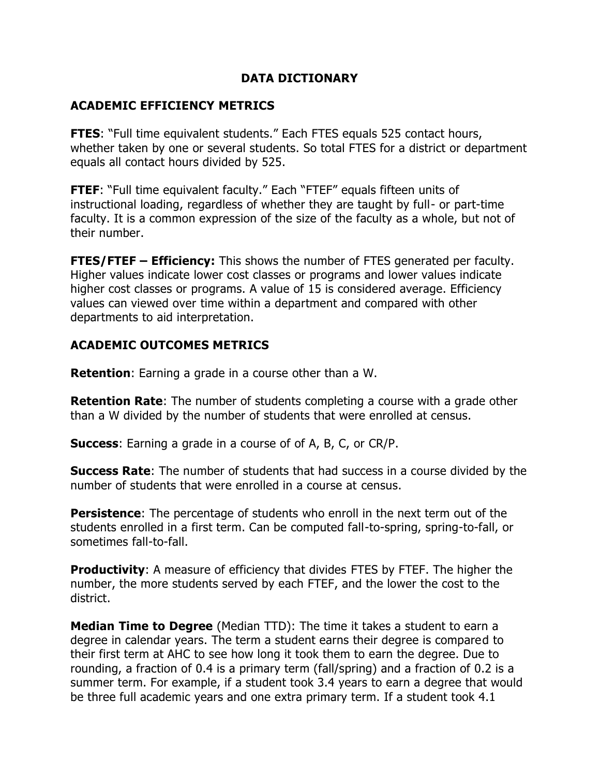### **DATA DICTIONARY**

#### **ACADEMIC EFFICIENCY METRICS**

**FTES**: "Full time equivalent students." Each FTES equals 525 contact hours, whether taken by one or several students. So total FTES for a district or department equals all contact hours divided by 525.

**FTEF**: "Full time equivalent faculty." Each "FTEF" equals fifteen units of instructional loading, regardless of whether they are taught by full- or part-time faculty. It is a common expression of the size of the faculty as a whole, but not of their number.

**FTES/FTEF – Efficiency:** This shows the number of FTES generated per faculty. Higher values indicate lower cost classes or programs and lower values indicate higher cost classes or programs. A value of 15 is considered average. Efficiency values can viewed over time within a department and compared with other departments to aid interpretation.

### **ACADEMIC OUTCOMES METRICS**

**Retention**: Earning a grade in a course other than a W.

**Retention Rate**: The number of students completing a course with a grade other than a W divided by the number of students that were enrolled at census.

**Success**: Earning a grade in a course of of A, B, C, or CR/P.

**Success Rate**: The number of students that had success in a course divided by the number of students that were enrolled in a course at census.

**Persistence**: The percentage of students who enroll in the next term out of the students enrolled in a first term. Can be computed fall-to-spring, spring-to-fall, or sometimes fall-to-fall.

**Productivity**: A measure of efficiency that divides FTES by FTEF. The higher the number, the more students served by each FTEF, and the lower the cost to the district.

**Median Time to Degree** (Median TTD): The time it takes a student to earn a degree in calendar years. The term a student earns their degree is compared to their first term at AHC to see how long it took them to earn the degree. Due to rounding, a fraction of 0.4 is a primary term (fall/spring) and a fraction of 0.2 is a summer term. For example, if a student took 3.4 years to earn a degree that would be three full academic years and one extra primary term. If a student took 4.1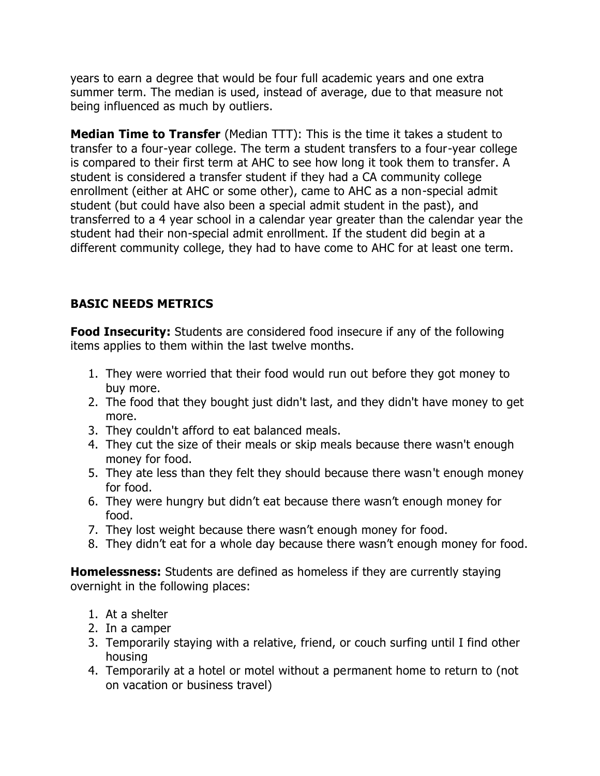years to earn a degree that would be four full academic years and one extra summer term. The median is used, instead of average, due to that measure not being influenced as much by outliers.

**Median Time to Transfer** (Median TTT): This is the time it takes a student to transfer to a four-year college. The term a student transfers to a four-year college is compared to their first term at AHC to see how long it took them to transfer. A student is considered a transfer student if they had a CA community college enrollment (either at AHC or some other), came to AHC as a non-special admit student (but could have also been a special admit student in the past), and transferred to a 4 year school in a calendar year greater than the calendar year the student had their non-special admit enrollment. If the student did begin at a different community college, they had to have come to AHC for at least one term.

# **BASIC NEEDS METRICS**

**Food Insecurity:** Students are considered food insecure if any of the following items applies to them within the last twelve months.

- 1. They were worried that their food would run out before they got money to buy more.
- 2. The food that they bought just didn't last, and they didn't have money to get more.
- 3. They couldn't afford to eat balanced meals.
- 4. They cut the size of their meals or skip meals because there wasn't enough money for food.
- 5. They ate less than they felt they should because there wasn't enough money for food.
- 6. They were hungry but didn't eat because there wasn't enough money for food.
- 7. They lost weight because there wasn't enough money for food.
- 8. They didn't eat for a whole day because there wasn't enough money for food.

**Homelessness:** Students are defined as homeless if they are currently staying overnight in the following places:

- 1. At a shelter
- 2. In a camper
- 3. Temporarily staying with a relative, friend, or couch surfing until I find other housing
- 4. Temporarily at a hotel or motel without a permanent home to return to (not on vacation or business travel)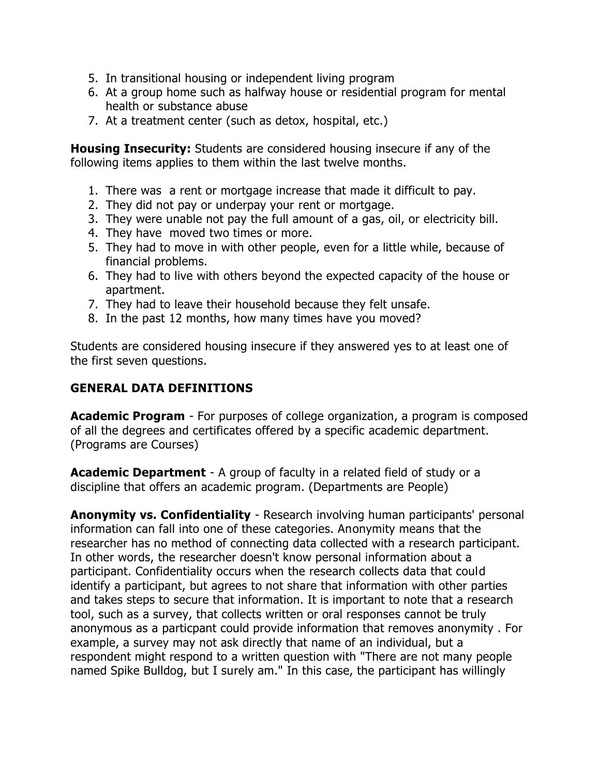- 5. In transitional housing or independent living program
- 6. At a group home such as halfway house or residential program for mental health or substance abuse
- 7. At a treatment center (such as detox, hospital, etc.)

**Housing Insecurity:** Students are considered housing insecure if any of the following items applies to them within the last twelve months.

- 1. There was a rent or mortgage increase that made it difficult to pay.
- 2. They did not pay or underpay your rent or mortgage.
- 3. They were unable not pay the full amount of a gas, oil, or electricity bill.
- 4. They have moved two times or more.
- 5. They had to move in with other people, even for a little while, because of financial problems.
- 6. They had to live with others beyond the expected capacity of the house or apartment.
- 7. They had to leave their household because they felt unsafe.
- 8. In the past 12 months, how many times have you moved?

Students are considered housing insecure if they answered yes to at least one of the first seven questions.

## **GENERAL DATA DEFINITIONS**

**Academic Program** - For purposes of college organization, a program is composed of all the degrees and certificates offered by a specific academic department. (Programs are Courses)

**Academic Department** - A group of faculty in a related field of study or a discipline that offers an academic program. (Departments are People)

**Anonymity vs. Confidentiality** - Research involving human participants' personal information can fall into one of these categories. Anonymity means that the researcher has no method of connecting data collected with a research participant. In other words, the researcher doesn't know personal information about a participant. Confidentiality occurs when the research collects data that could identify a participant, but agrees to not share that information with other parties and takes steps to secure that information. It is important to note that a research tool, such as a survey, that collects written or oral responses cannot be truly anonymous as a particpant could provide information that removes anonymity . For example, a survey may not ask directly that name of an individual, but a respondent might respond to a written question with "There are not many people named Spike Bulldog, but I surely am." In this case, the participant has willingly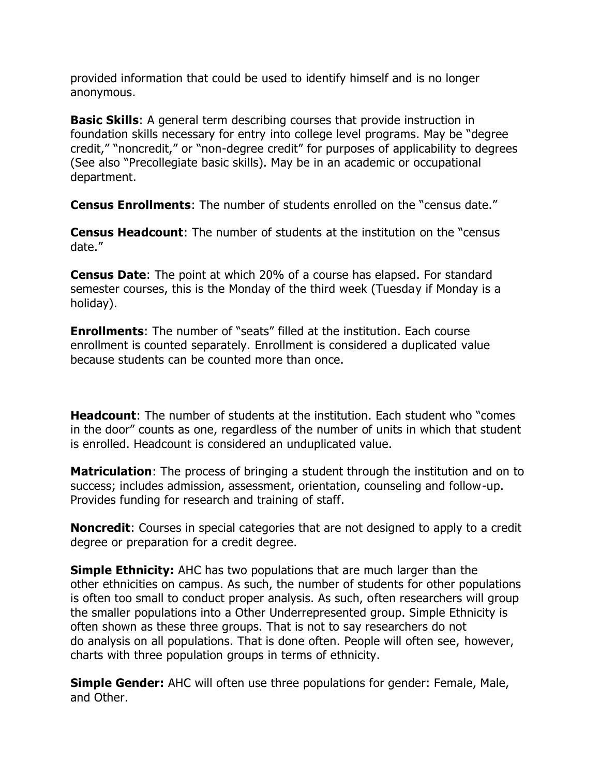provided information that could be used to identify himself and is no longer anonymous.

**Basic Skills**: A general term describing courses that provide instruction in foundation skills necessary for entry into college level programs. May be "degree credit," "noncredit," or "non-degree credit" for purposes of applicability to degrees (See also "Precollegiate basic skills). May be in an academic or occupational department.

**Census Enrollments**: The number of students enrolled on the "census date."

**Census Headcount**: The number of students at the institution on the "census date."

**Census Date**: The point at which 20% of a course has elapsed. For standard semester courses, this is the Monday of the third week (Tuesday if Monday is a holiday).

**Enrollments**: The number of "seats" filled at the institution. Each course enrollment is counted separately. Enrollment is considered a duplicated value because students can be counted more than once.

**Headcount**: The number of students at the institution. Each student who "comes in the door" counts as one, regardless of the number of units in which that student is enrolled. Headcount is considered an unduplicated value.

**Matriculation**: The process of bringing a student through the institution and on to success; includes admission, assessment, orientation, counseling and follow-up. Provides funding for research and training of staff.

**Noncredit**: Courses in special categories that are not designed to apply to a credit degree or preparation for a credit degree.

**Simple Ethnicity:** AHC has two populations that are much larger than the other ethnicities on campus. As such, the number of students for other populations is often too small to conduct proper analysis. As such, often researchers will group the smaller populations into a Other Underrepresented group. Simple Ethnicity is often shown as these three groups. That is not to say researchers do not do analysis on all populations. That is done often. People will often see, however, charts with three population groups in terms of ethnicity.

**Simple Gender:** AHC will often use three populations for gender: Female, Male, and Other.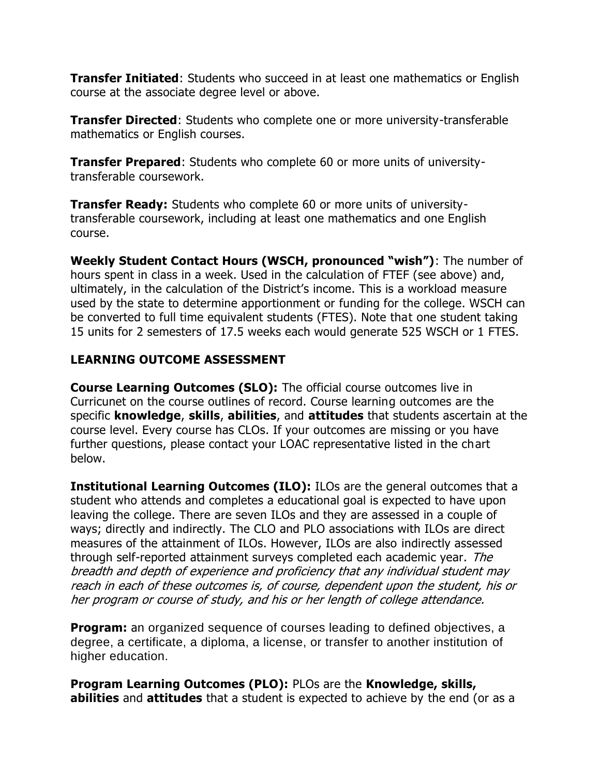**Transfer Initiated:** Students who succeed in at least one mathematics or English course at the associate degree level or above.

**Transfer Directed**: Students who complete one or more university-transferable mathematics or English courses.

**Transfer Prepared**: Students who complete 60 or more units of universitytransferable coursework.

**Transfer Ready:** Students who complete 60 or more units of universitytransferable coursework, including at least one mathematics and one English course.

**Weekly Student Contact Hours (WSCH, pronounced "wish")**: The number of hours spent in class in a week. Used in the calculation of FTEF (see above) and, ultimately, in the calculation of the District's income. This is a workload measure used by the state to determine apportionment or funding for the college. WSCH can be converted to full time equivalent students (FTES). Note that one student taking 15 units for 2 semesters of 17.5 weeks each would generate 525 WSCH or 1 FTES.

## **LEARNING OUTCOME ASSESSMENT**

**Course Learning Outcomes (SLO):** The official course outcomes live in Curricunet on the course outlines of record. Course learning outcomes are the specific **knowledge**, **skills**, **abilities**, and **attitudes** that students ascertain at the course level. Every course has CLOs. If your outcomes are missing or you have further questions, please contact your LOAC representative listed in the chart below.

**Institutional Learning Outcomes (ILO):** ILOs are the general outcomes that a student who attends and completes a educational goal is expected to have upon leaving the college. There are seven ILOs and they are assessed in a couple of ways; directly and indirectly. The CLO and PLO associations with ILOs are direct measures of the attainment of ILOs. However, ILOs are also indirectly assessed through self-reported attainment surveys completed each academic year. The breadth and depth of experience and proficiency that any individual student may reach in each of these outcomes is, of course, dependent upon the student, his or her program or course of study, and his or her length of college attendance.

**Program:** an organized sequence of courses leading to defined objectives, a degree, a certificate, a diploma, a license, or transfer to another institution of higher education.

**Program Learning Outcomes (PLO):** PLOs are the **Knowledge, skills, abilities** and **attitudes** that a student is expected to achieve by the end (or as a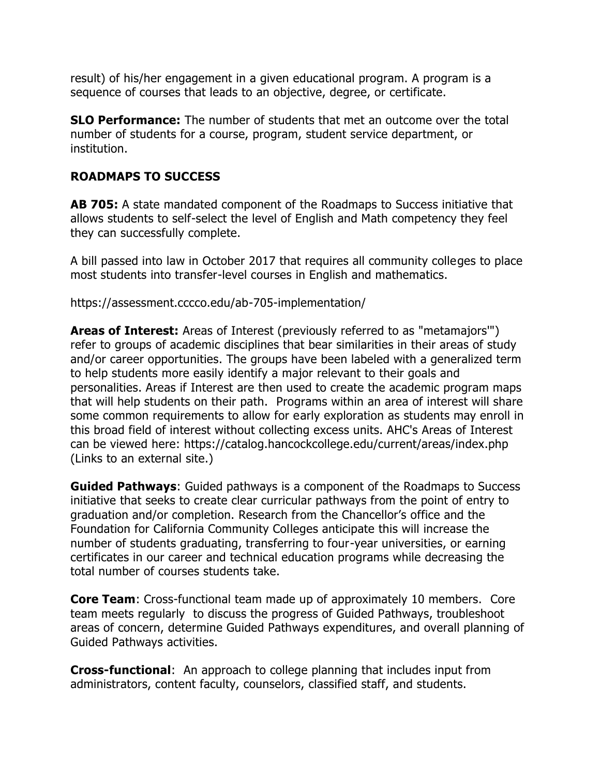result) of his/her engagement in a given educational program. A program is a sequence of courses that leads to an objective, degree, or certificate.

**SLO Performance:** The number of students that met an outcome over the total number of students for a course, program, student service department, or institution.

### **ROADMAPS TO SUCCESS**

**AB 705:** A state mandated component of the Roadmaps to Success initiative that allows students to self-select the level of English and Math competency they feel they can successfully complete.

A bill passed into law in October 2017 that requires all community colleges to place most students into transfer-level courses in English and mathematics.

https://assessment.cccco.edu/ab-705-implementation/

**Areas of Interest:** Areas of Interest (previously referred to as "metamajors'") refer to groups of academic disciplines that bear similarities in their areas of study and/or career opportunities. The groups have been labeled with a generalized term to help students more easily identify a major relevant to their goals and personalities. Areas if Interest are then used to create the academic program maps that will help students on their path. Programs within an area of interest will share some common requirements to allow for early exploration as students may enroll in this broad field of interest without collecting excess units. AHC's Areas of Interest can be viewed here: https://catalog.hancockcollege.edu/current/areas/index.php (Links to an external site.)

**Guided Pathways**: Guided pathways is a component of the Roadmaps to Success initiative that seeks to create clear curricular pathways from the point of entry to graduation and/or completion. Research from the Chancellor's office and the Foundation for California Community Colleges anticipate this will increase the number of students graduating, transferring to four-year universities, or earning certificates in our career and technical education programs while decreasing the total number of courses students take.

**Core Team**: Cross-functional team made up of approximately 10 members. Core team meets regularly to discuss the progress of Guided Pathways, troubleshoot areas of concern, determine Guided Pathways expenditures, and overall planning of Guided Pathways activities.

**Cross-functional**: An approach to college planning that includes input from administrators, content faculty, counselors, classified staff, and students.